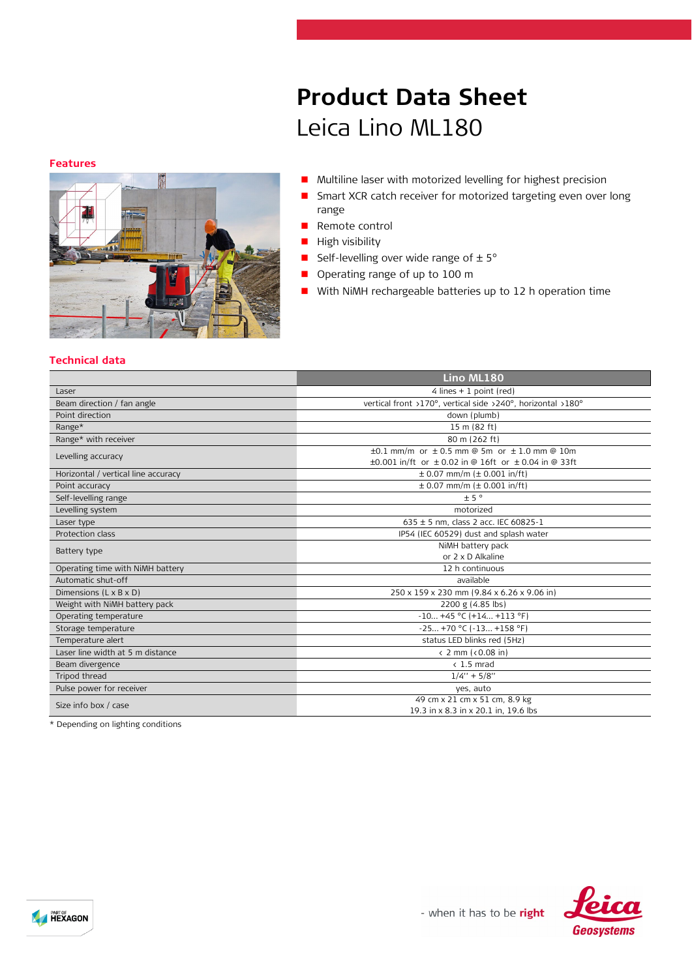#### **Features**



# **Product Data Sheet** Leica Lino ML180

- Multiline laser with motorized levelling for highest precision
- **B** Smart XCR catch receiver for motorized targeting even over long range
- **Remote control**
- $\blacksquare$  High visibility
- Self-levelling over wide range of  $\pm 5^{\circ}$
- **Operating range of up to 100 m**
- **Now With NiMH rechargeable batteries up to 12 h operation time**

### **Technical data**

|                                     | Lino ML180                                                                                                                     |
|-------------------------------------|--------------------------------------------------------------------------------------------------------------------------------|
| Laser                               | 4 lines $+1$ point (red)                                                                                                       |
| Beam direction / fan angle          | vertical front >170°, vertical side >240°, horizontal >180°                                                                    |
| Point direction                     | down (plumb)                                                                                                                   |
| Range*                              | 15 m (82 ft)                                                                                                                   |
| Range* with receiver                | 80 m (262 ft)                                                                                                                  |
| Levelling accuracy                  | $\pm 0.1$ mm/m or $\pm 0.5$ mm @ 5m or $\pm 1.0$ mm @ 10m<br>$\pm 0.001$ in/ft or $\pm 0.02$ in @ 16ft or $\pm 0.04$ in @ 33ft |
| Horizontal / vertical line accuracy | $\pm$ 0.07 mm/m ( $\pm$ 0.001 in/ft)                                                                                           |
| Point accuracy                      | $\pm$ 0.07 mm/m ( $\pm$ 0.001 in/ft)                                                                                           |
| Self-levelling range                | ± 5°                                                                                                                           |
| Levelling system                    | motorized                                                                                                                      |
| Laser type                          | $635 \pm 5$ nm, class 2 acc. IEC 60825-1                                                                                       |
| Protection class                    | IP54 (IEC 60529) dust and splash water                                                                                         |
| Battery type                        | NiMH battery pack<br>or 2 x D Alkaline                                                                                         |
| Operating time with NiMH battery    | 12 h continuous                                                                                                                |
| Automatic shut-off                  | available                                                                                                                      |
| Dimensions (L x B x D)              | 250 x 159 x 230 mm (9.84 x 6.26 x 9.06 in)                                                                                     |
| Weight with NiMH battery pack       | 2200 g (4.85 lbs)                                                                                                              |
| Operating temperature               | $-10+45$ °C (+14 +113 °F)                                                                                                      |
| Storage temperature                 | $-25 +70 °C (-13 +158 °F)$                                                                                                     |
| Temperature alert                   | status LED blinks red (5Hz)                                                                                                    |
| Laser line width at 5 m distance    | $\langle$ 2 mm ( $\langle$ 0.08 in)                                                                                            |
| Beam divergence                     | $\langle 1.5 \text{ mrad}$                                                                                                     |
| Tripod thread                       | $1/4" + 5/8"$                                                                                                                  |
| Pulse power for receiver            | yes, auto                                                                                                                      |
| Size info box / case                | 49 cm x 21 cm x 51 cm, 8.9 kg<br>19.3 in x 8.3 in x 20.1 in, 19.6 lbs                                                          |

\* Depending on lighting conditions